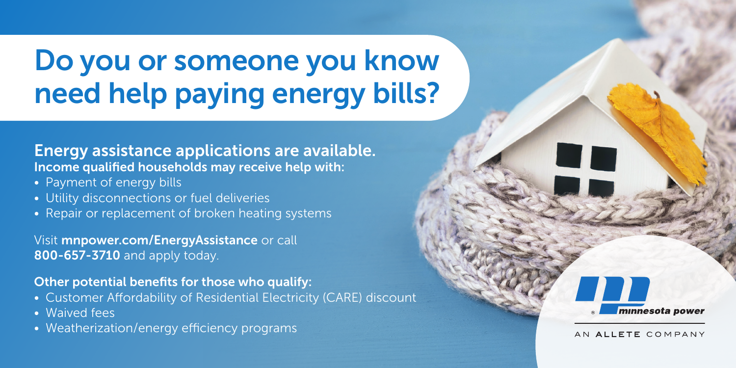# Do you or someone you know need help paying energy bills?

OT

minnesota power

AN ALLETE COMPANY

# Energy assistance applications are available. Income qualified households may receive help with:

- Payment of energy bills
- Utility disconnections or fuel deliveries
- Repair or replacement of broken heating systems

Visit mnpower.com/EnergyAssistance or call 800-657-3710 and apply today.

## Other potential benefits for those who qualify:

- Customer Affordability of Residential Electricity (CARE) discount
- Waived fees
- Weatherization/energy efficiency programs